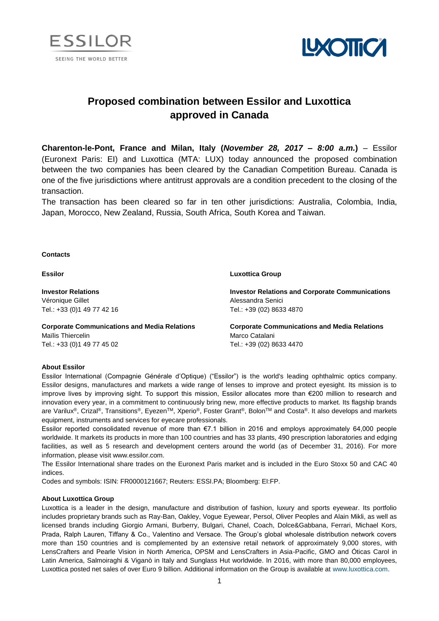



# **Proposed combination between Essilor and Luxottica approved in Canada**

**Charenton-le-Pont, France and Milan, Italy (***November 28, 2017 – 8:00 a.m.***)** – Essilor (Euronext Paris: EI) and Luxottica (MTA: LUX) today announced the proposed combination between the two companies has been cleared by the Canadian Competition Bureau. Canada is one of the five jurisdictions where antitrust approvals are a condition precedent to the closing of the transaction.

The transaction has been cleared so far in ten other jurisdictions: Australia, Colombia, India, Japan, Morocco, New Zealand, Russia, South Africa, South Korea and Taiwan.

## **Contacts**

| <b>Essilor</b>                                      | <b>Luxottica Group</b>                                 |
|-----------------------------------------------------|--------------------------------------------------------|
| <b>Investor Relations</b>                           | <b>Investor Relations and Corporate Communications</b> |
| Véronique Gillet                                    | Alessandra Senici                                      |
| Tel.: +33 (0)1 49 77 42 16                          | Tel.: +39 (02) 8633 4870                               |
| <b>Corporate Communications and Media Relations</b> | <b>Corporate Communications and Media Relations</b>    |
| Maïlis Thiercelin                                   | Marco Catalani                                         |
| Tel.: +33 (0)1 49 77 45 02                          | Tel.: +39 (02) 8633 4470                               |

## **About Essilor**

Essilor International (Compagnie Générale d'Optique) ("Essilor") is the world's leading ophthalmic optics company. Essilor designs, manufactures and markets a wide range of lenses to improve and protect eyesight. Its mission is to improve lives by improving sight. To support this mission, Essilor allocates more than €200 million to research and innovation every year, in a commitment to continuously bring new, more effective products to market. Its flagship brands are Varilux®, Crizal®, Transitions®, Eyezen™, Xperio®, Foster Grant®, Bolon™ and Costa®. It also develops and markets equipment, instruments and services for eyecare professionals.

Essilor reported consolidated revenue of more than €7.1 billion in 2016 and employs approximately 64,000 people worldwide. It markets its products in more than 100 countries and has 33 plants, 490 prescription laboratories and edging facilities, as well as 5 research and development centers around the world (as of December 31, 2016). For more information, please visit www.essilor.com.

The Essilor International share trades on the Euronext Paris market and is included in the Euro Stoxx 50 and CAC 40 indices.

Codes and symbols: ISIN: FR0000121667; Reuters: ESSI.PA; Bloomberg: EI:FP.

### **About Luxottica Group**

Luxottica is a leader in the design, manufacture and distribution of fashion, luxury and sports eyewear. Its portfolio includes proprietary brands such as Ray-Ban, Oakley, Vogue Eyewear, Persol, Oliver Peoples and Alain Mikli, as well as licensed brands including Giorgio Armani, Burberry, Bulgari, Chanel, Coach, Dolce&Gabbana, Ferrari, Michael Kors, Prada, Ralph Lauren, Tiffany & Co., Valentino and Versace. The Group's global wholesale distribution network covers more than 150 countries and is complemented by an extensive retail network of approximately 9,000 stores, with LensCrafters and Pearle Vision in North America, OPSM and LensCrafters in Asia-Pacific, GMO and Óticas Carol in Latin America, Salmoiraghi & Viganò in Italy and Sunglass Hut worldwide. In 2016, with more than 80,000 employees, Luxottica posted net sales of over Euro 9 billion. Additional information on the Group is available at [www.luxottica.com.](http://www.luxottica.com/)